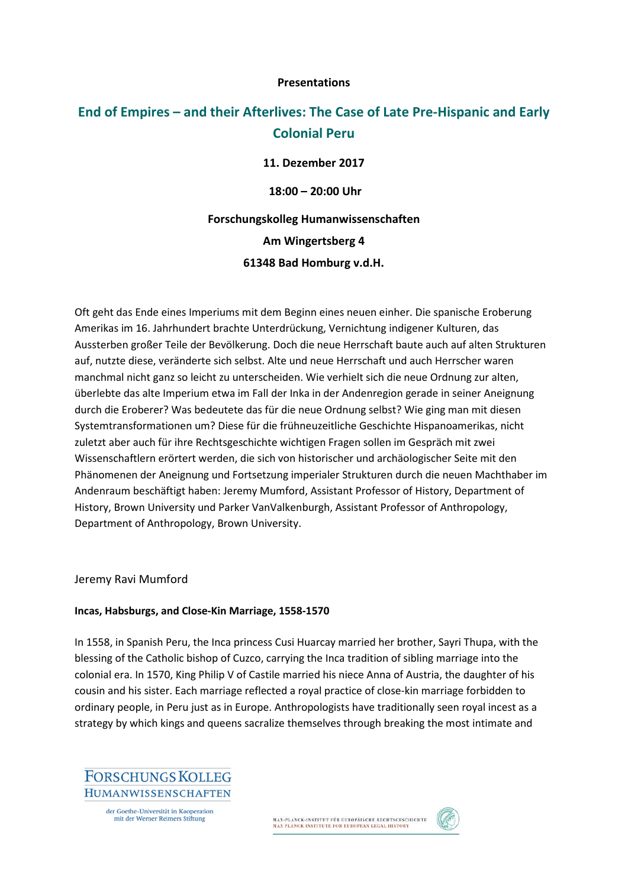### **Presentations**

# **End of Empires – and their Afterlives: The Case of Late Pre-Hispanic and Early Colonial Peru**

**11. Dezember 2017**

**18:00 – 20:00 Uhr**

**Forschungskolleg Humanwissenschaften Am Wingertsberg 4 61348 Bad Homburg v.d.H.**

Oft geht das Ende eines Imperiums mit dem Beginn eines neuen einher. Die spanische Eroberung Amerikas im 16. Jahrhundert brachte Unterdrückung, Vernichtung indigener Kulturen, das Aussterben großer Teile der Bevölkerung. Doch die neue Herrschaft baute auch auf alten Strukturen auf, nutzte diese, veränderte sich selbst. Alte und neue Herrschaft und auch Herrscher waren manchmal nicht ganz so leicht zu unterscheiden. Wie verhielt sich die neue Ordnung zur alten, überlebte das alte Imperium etwa im Fall der Inka in der Andenregion gerade in seiner Aneignung durch die Eroberer? Was bedeutete das für die neue Ordnung selbst? Wie ging man mit diesen Systemtransformationen um? Diese für die frühneuzeitliche Geschichte Hispanoamerikas, nicht zuletzt aber auch für ihre Rechtsgeschichte wichtigen Fragen sollen im Gespräch mit zwei Wissenschaftlern erörtert werden, die sich von historischer und archäologischer Seite mit den Phänomenen der Aneignung und Fortsetzung imperialer Strukturen durch die neuen Machthaber im Andenraum beschäftigt haben: Jeremy Mumford, Assistant Professor of History, Department of History, Brown University und Parker VanValkenburgh, Assistant Professor of Anthropology, Department of Anthropology, Brown University.

Jeremy Ravi Mumford

### **Incas, Habsburgs, and Close-Kin Marriage, 1558-1570**

In 1558, in Spanish Peru, the Inca princess Cusi Huarcay married her brother, Sayri Thupa, with the blessing of the Catholic bishop of Cuzco, carrying the Inca tradition of sibling marriage into the colonial era. In 1570, King Philip V of Castile married his niece Anna of Austria, the daughter of his cousin and his sister. Each marriage reflected a royal practice of close-kin marriage forbidden to ordinary people, in Peru just as in Europe. Anthropologists have traditionally seen royal incest as a strategy by which kings and queens sacralize themselves through breaking the most intimate and

**FORSCHUNGS KOLLEG HUMANWISSENSCHAFTEN** 

> der Goethe-Universität in Kooperation mit der Werner Reimers Stiftung

MAX-PLANCK-INSTITUT FÜR EUROPÄISCHE RECHTSGESCHICHTE<br>MAX PLANCK INSTITUTE FOR EUROPEAN LEGAL HISTORY